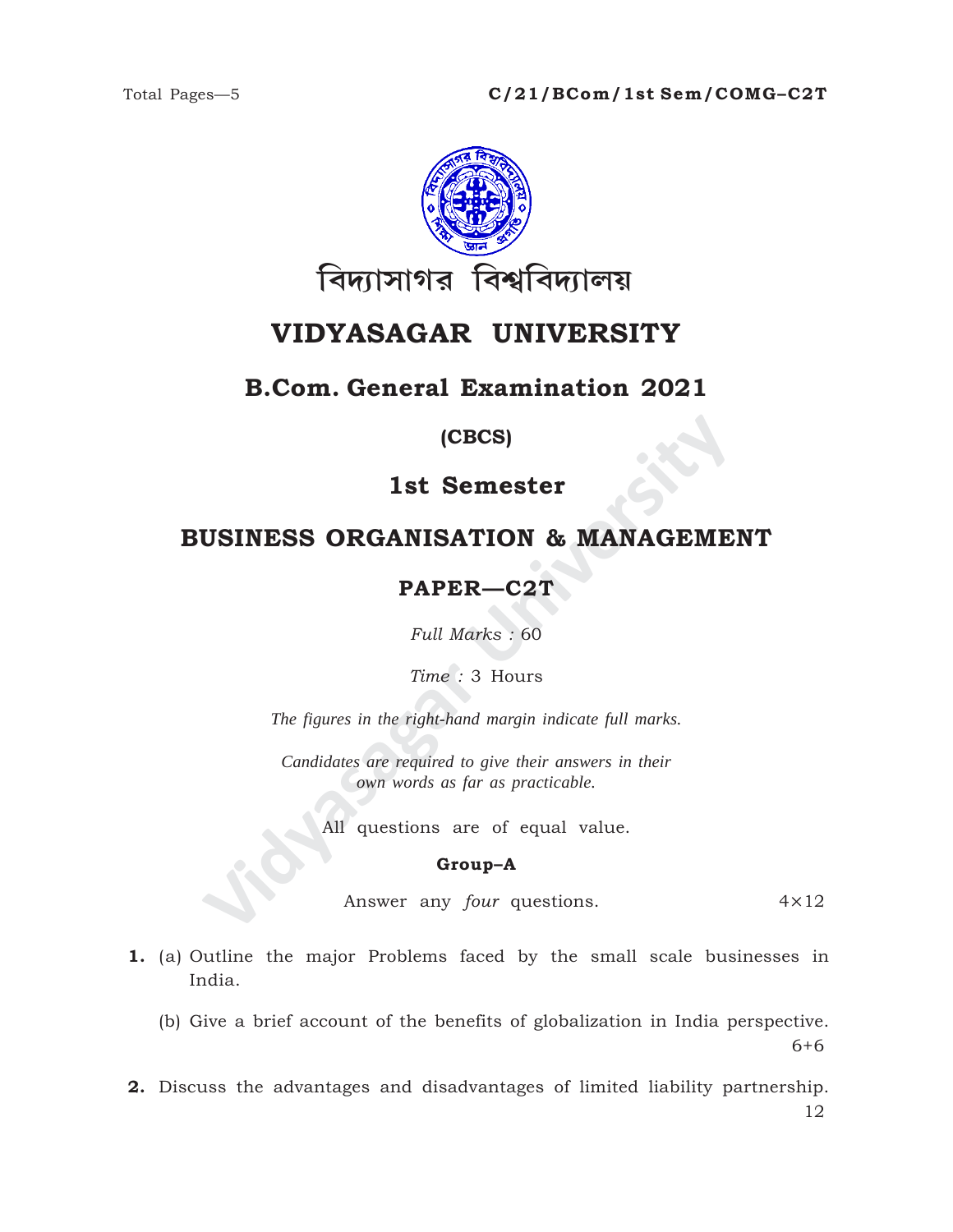

# **VIDYASAGAR UNIVERSITY**

# **B.Com. General Examination 2021**

### **(CBCS)**

## **1st Semester**

# **BUSINESS ORGANISATION & MANAGEMENT**

# **PAPER—C2T**

*Full Marks :* 60

*Time :* 3 Hours

*The figures in the right-hand margin indicate full marks.*

**ISINESS ORGANISATION & MANAGEME<br>
PAPER—C2T**<br>
Full Marks : 60<br>
Time : 3 Hours<br>
The figures in the right-hand margin indicate full marks.<br>
Candidates are required to give their answers in their<br>
condidates are required to g *Candidates are required to give their answers in their own words as far as practicable.*

All questions are of equal value.

#### **Group–A**

Answer any *four* questions. 4×12

6+6

- **1.** (a) Outline the major Problems faced by the small scale businesses in India.
	- (b) Give a brief account of the benefits of globalization in India perspective.

**2.** Discuss the advantages and disadvantages of limited liability partnership. 12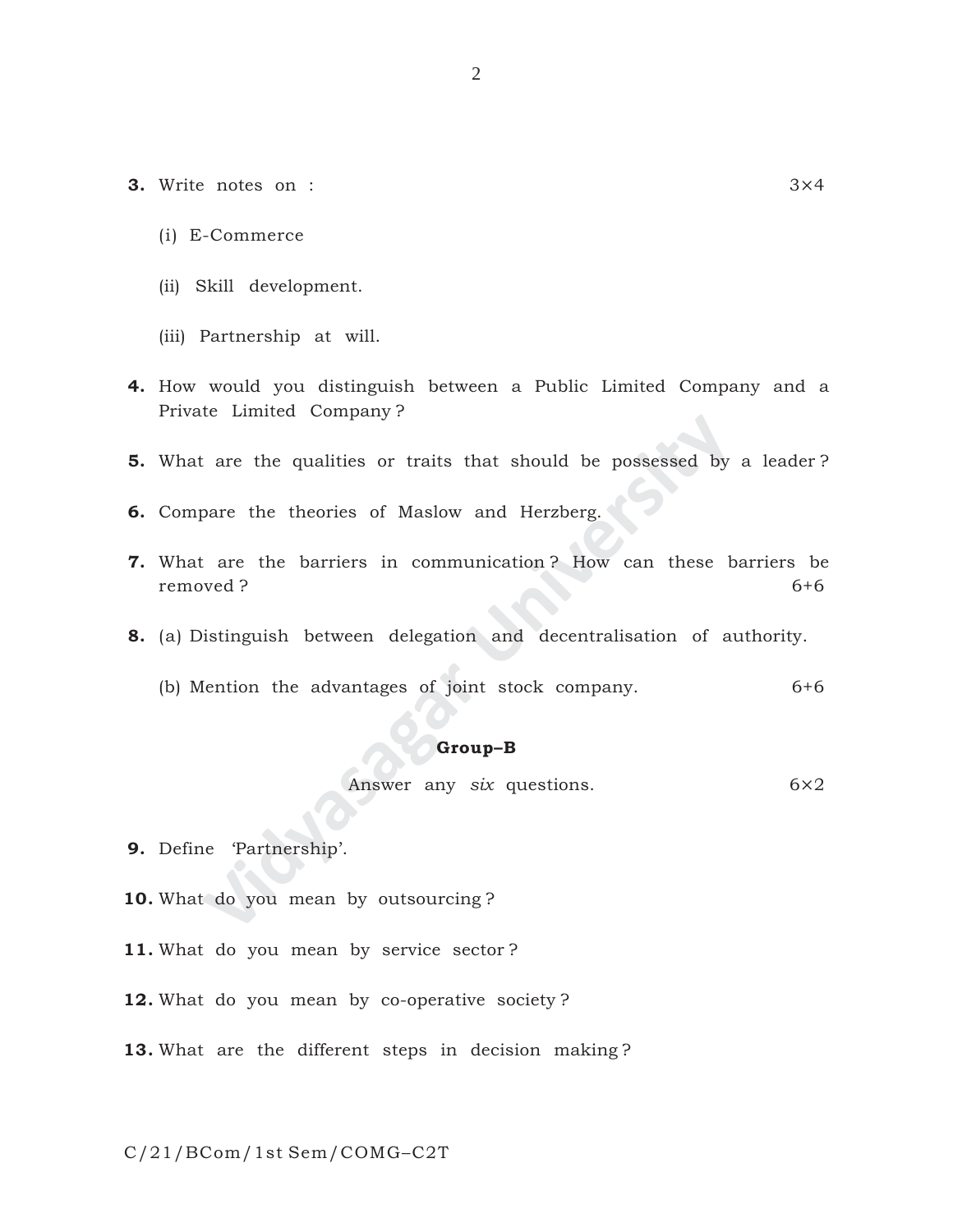- **3.** Write notes on : 3×4
	- (i) E-Commerce
	- (ii) Skill development.
	- (iii) Partnership at will.
- **4.** How would you distinguish between a Public Limited Company and a Private Limited Company ?

2

- **5.** What are the qualities or traits that should be possessed by a leader?
- **6.** Compare the theories of Maslow and Herzberg.
- **Example 19 Supplemptually**<br>
2 are the qualities or traits that should be possessed by<br>
pare the theories of Maslow and Herzberg.<br>
1 are the barriers in communication ? How can these b<br>
wed ?<br> **Suppersity**<br> **Supper Supper 7.** What are the barriers in communication ? How can these barriers be removed ? 6+6
- **8.** (a) Distinguish between delegation and decentralisation of authority.
	- (b) Mention the advantages of joint stock company. 6+6

#### **Group–B**

Answer any *six* questions. 6×2

- **9.** Define 'Partnership'.
- **10.** What do you mean by outsourcing ?
- **11.** What do you mean by service sector ?
- **12.** What do you mean by co-operative society ?
- **13.** What are the different steps in decision making ?

C/21/BCom/1st Sem/COMG–C2T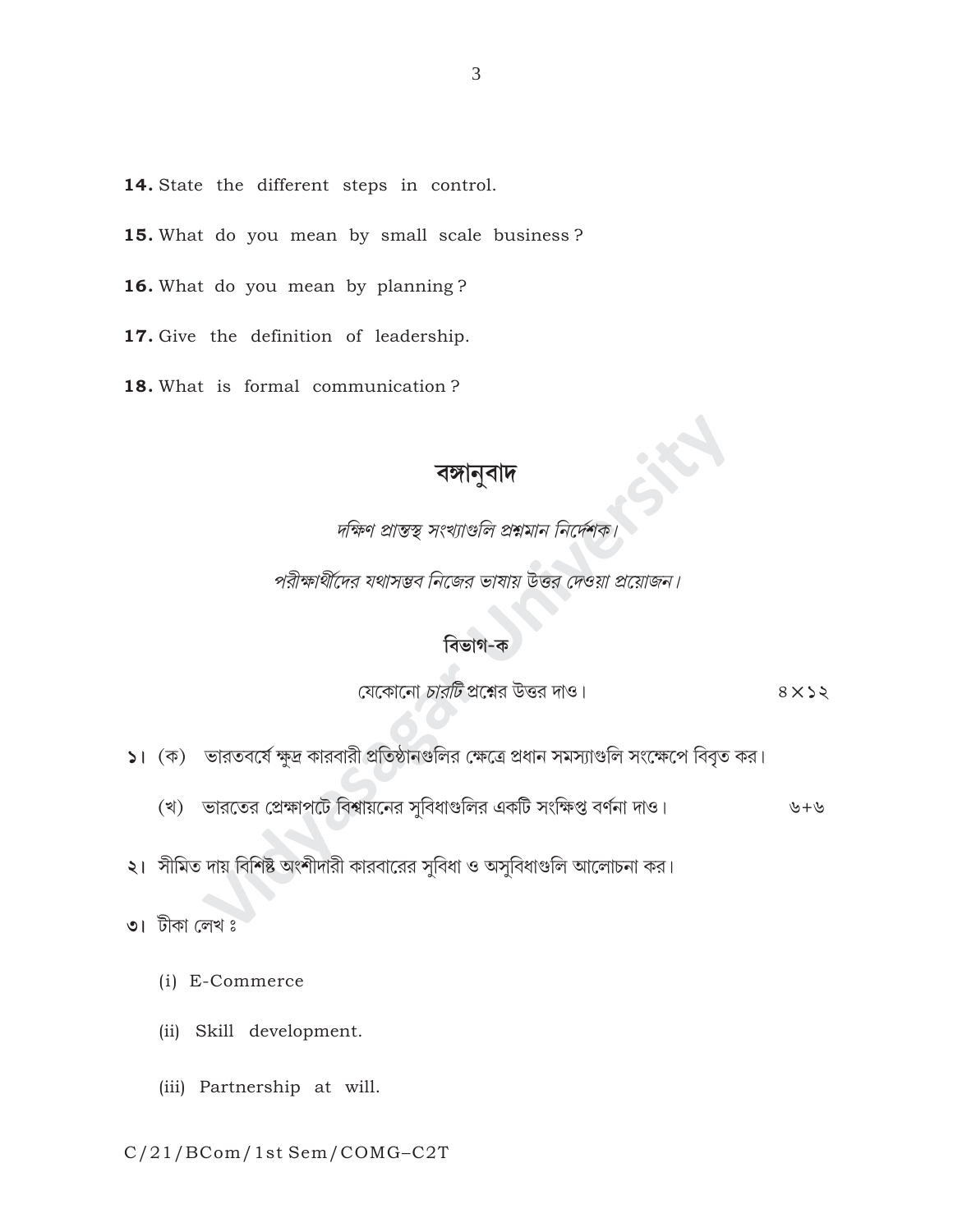- 14. State the different steps in control.
- 15. What do you mean by small scale business?
- 16. What do you mean by planning?
- 17. Give the definition of leadership.
- 18. What is formal communication?

বঙ্গানুবাদ<br>দক্ষিণ প্রান্তস্থ সংখ্যাণ্ডলি প্রশ্নমান নি

পরীক্ষার্থীদের যথাসম্ভব নিজের ভাষায় উত্তর দেওয়া প্রয়োজন।

#### বিভাগ-ক

যেকোনো *চারটি* প্রশ্নের উত্তর দাও।  $8 \times 22$ 

- ১। (ক) ভারতবর্ষে ক্ষুদ্র কারবারী প্রতিষ্ঠানগুলির ক্ষেত্রে প্রধান সমস্যাগুলি সংক্ষেপে বিবৃত কর।
	- (খ) ভারতের প্রেক্ষাপটে বিশ্বায়নের সুবিধাগুলির একটি সংক্ষিপ্ত বর্ণনা দাও। ৬+৬
- ২। সীমিত দায় বিশিষ্ট অংশীদারী কারবারের সুবিধা ও অসুবিধাগুলি আলোচনা কর।
- ৩। টীকা লেখ ঃ
	- (i) E-Commerce
	- (ii) Skill development.
	- (iii) Partnership at will.

C/21/BCom/1st Sem/COMG-C2T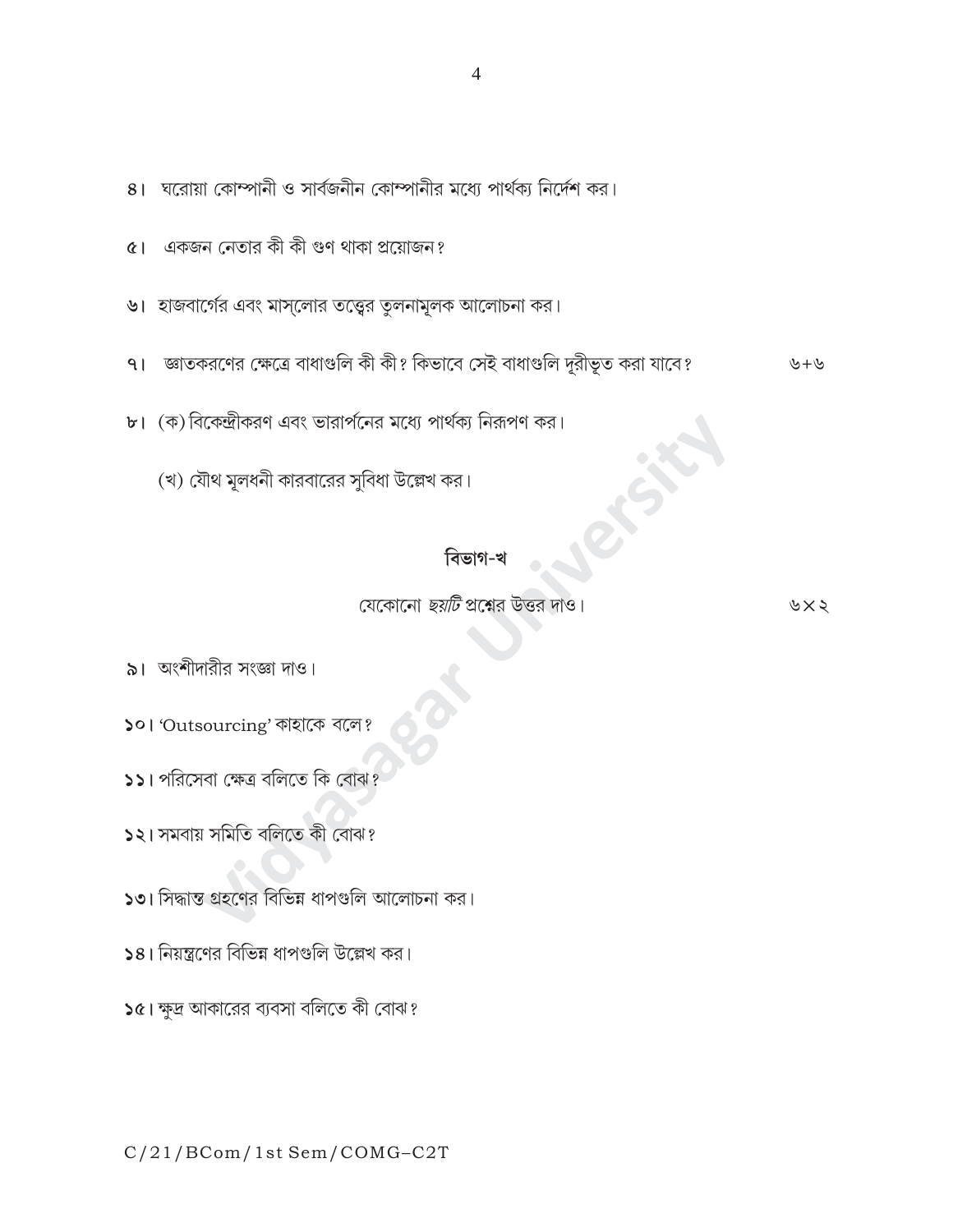# যেকোনো *ছয়টি* প্রশ্নের উত্তর দাও।

বিভাগ-খ

৯। অংশীদারীর সংজ্ঞা দাও।

- ১০। 'Outsourcing' কাহাকে বলে?
- ১১। পরিসেবা ক্ষেত্র বলিতে কি বোঝ?
- ১২। সমবায় সমিতি বলিতে কী বোঝ?
- ১৩। সিদ্ধান্ত গ্রহণের বিভিন্ন ধাপগুলি আলোচনা কর।
- ১৪। নিয়ন্ত্রণের বিভিন্ন ধাপগুলি উল্লেখ কর।
- ১৫। ক্ষুদ্র আকারের ব্যবসা বলিতে কী বোঝ?

৬ $\times$ ২

৬+৬

- ৭। জাতকরণের ক্ষেত্রে বাধাগুলি কী কী? কিভাবে সেই বাধাগুলি দুরীভূত করা যাবে?
- ৬। হাজবার্গের এবং মাস্লোর তত্ত্বের তুলনামূলক আলোচনা কর।

৮। (ক) বিকেন্দ্রীকরণ এবং ভারার্পনের মধ্যে পার্থক্য নিরূপণ কর।

(খ) যৌথ মূলধনী কারবারের সুবিধা উল্লেখ কর।

- ৫। একজন নেতার কী কী গুণ থাকা প্রয়োজন?
- 8। ঘরোয়া কোম্পানী ও সার্বজনীন কোম্পানীর মধ্যে পার্থক্য নির্দেশ কর।